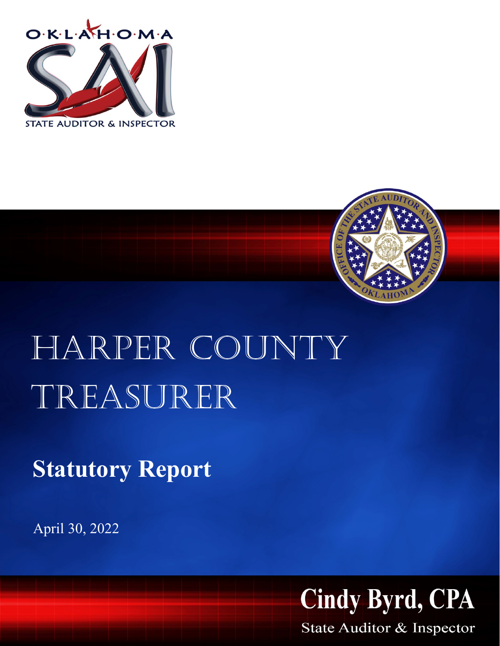



## HARPER COUNTY Treasurer

**Statutory Report**

April 30, 2022



State Auditor & Inspector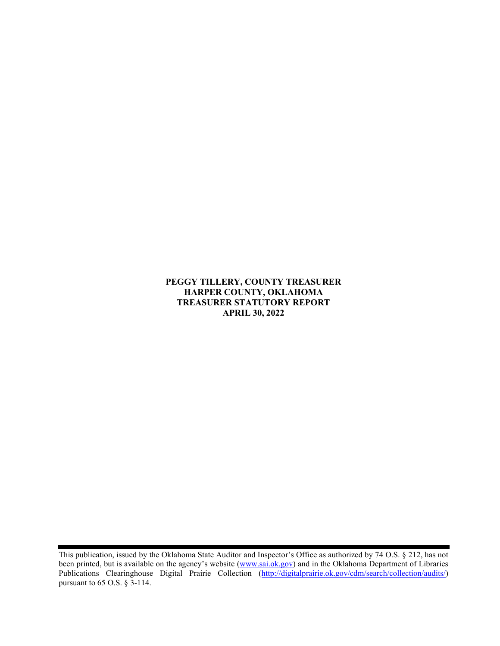**PEGGY TILLERY, COUNTY TREASURER HARPER COUNTY, OKLAHOMA TREASURER STATUTORY REPORT APRIL 30, 2022**

This publication, issued by the Oklahoma State Auditor and Inspector's Office as authorized by 74 O.S. § 212, has not been printed, but is available on the agency's website [\(www.sai.ok.gov\)](http://www.sai.ok.gov/) and in the Oklahoma Department of Libraries Publications Clearinghouse Digital Prairie Collection [\(http://digitalprairie.ok.gov/cdm/search/collection/audits/\)](http://digitalprairie.ok.gov/cdm/search/collection/audits/) pursuant to 65 O.S. § 3-114.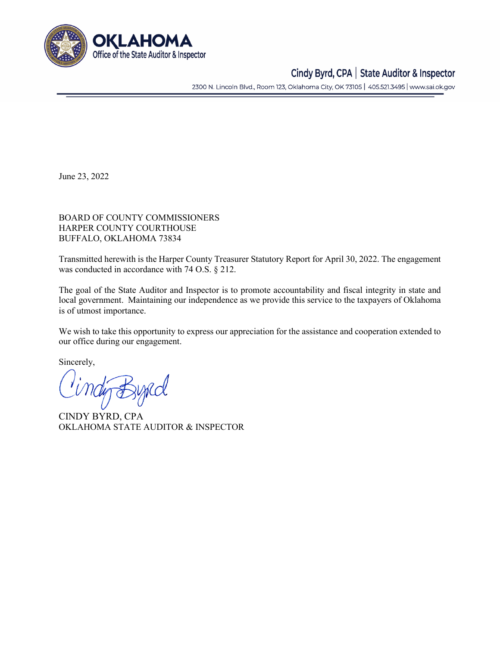

## Cindy Byrd, CPA | State Auditor & Inspector

2300 N. Lincoln Blvd., Room 123, Oklahoma City, OK 73105 | 405.521.3495 | www.sai.ok.gov

June 23, 2022

BOARD OF COUNTY COMMISSIONERS HARPER COUNTY COURTHOUSE BUFFALO, OKLAHOMA 73834

Transmitted herewith is the Harper County Treasurer Statutory Report for April 30, 2022. The engagement was conducted in accordance with 74 O.S. § 212.

The goal of the State Auditor and Inspector is to promote accountability and fiscal integrity in state and local government. Maintaining our independence as we provide this service to the taxpayers of Oklahoma is of utmost importance.

We wish to take this opportunity to express our appreciation for the assistance and cooperation extended to our office during our engagement.

Sincerely,

tig Bypcol

CINDY BYRD, CPA OKLAHOMA STATE AUDITOR & INSPECTOR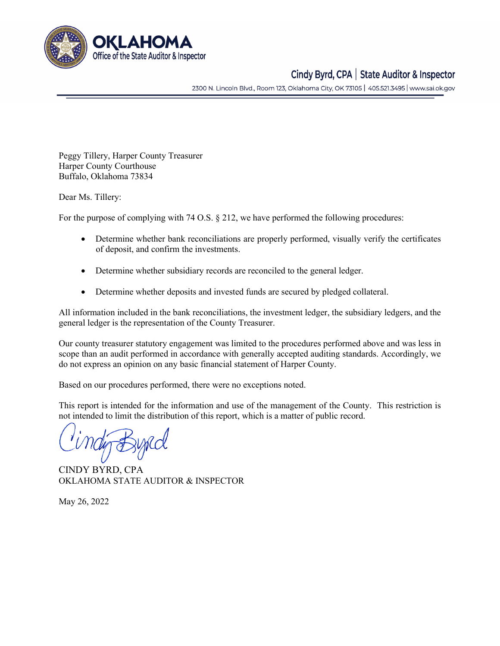

## Cindy Byrd, CPA | State Auditor & Inspector

2300 N. Lincoln Blvd., Room 123, Oklahoma City, OK 73105 | 405.521.3495 | www.sai.ok.gov

Peggy Tillery, Harper County Treasurer Harper County Courthouse Buffalo, Oklahoma 73834

Dear Ms. Tillery:

For the purpose of complying with 74 O.S. § 212, we have performed the following procedures:

- Determine whether bank reconciliations are properly performed, visually verify the certificates of deposit, and confirm the investments.
- Determine whether subsidiary records are reconciled to the general ledger.
- Determine whether deposits and invested funds are secured by pledged collateral.

All information included in the bank reconciliations, the investment ledger, the subsidiary ledgers, and the general ledger is the representation of the County Treasurer.

Our county treasurer statutory engagement was limited to the procedures performed above and was less in scope than an audit performed in accordance with generally accepted auditing standards. Accordingly, we do not express an opinion on any basic financial statement of Harper County.

Based on our procedures performed, there were no exceptions noted.

This report is intended for the information and use of the management of the County. This restriction is not intended to limit the distribution of this report, which is a matter of public record.

CINDY BYRD, CPA OKLAHOMA STATE AUDITOR & INSPECTOR

May 26, 2022